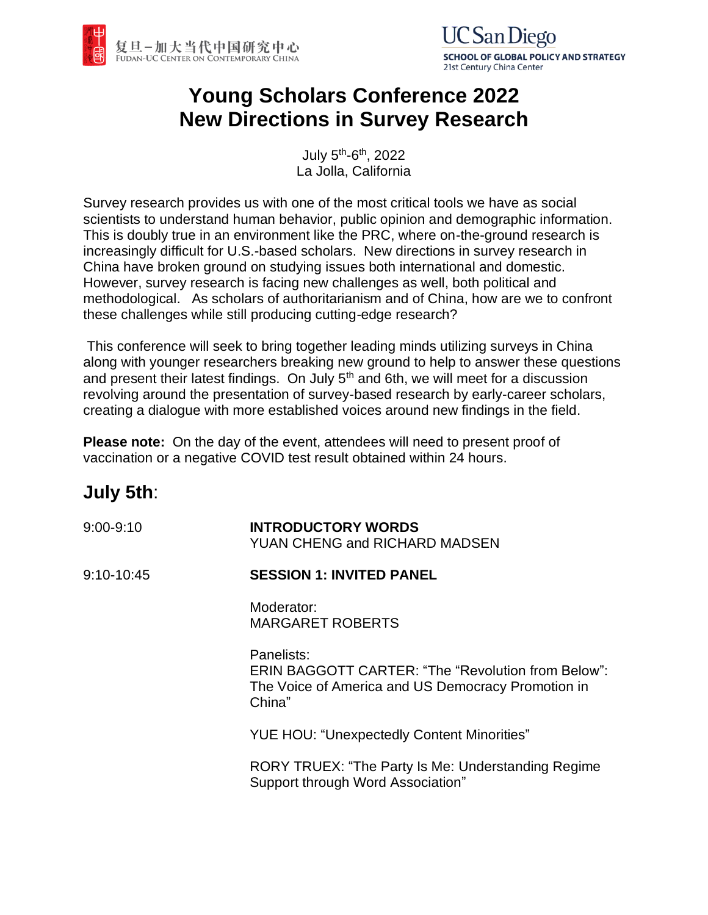



# **Young Scholars Conference 2022 New Directions in Survey Research**

July 5<sup>th</sup>-6<sup>th</sup>, 2022 La Jolla, California

Survey research provides us with one of the most critical tools we have as social scientists to understand human behavior, public opinion and demographic information. This is doubly true in an environment like the PRC, where on-the-ground research is increasingly difficult for U.S.-based scholars. New directions in survey research in China have broken ground on studying issues both international and domestic. However, survey research is facing new challenges as well, both political and methodological. As scholars of authoritarianism and of China, how are we to confront these challenges while still producing cutting-edge research?

This conference will seek to bring together leading minds utilizing surveys in China along with younger researchers breaking new ground to help to answer these questions and present their latest findings. On July  $5<sup>th</sup>$  and 6th, we will meet for a discussion revolving around the presentation of survey-based research by early-career scholars, creating a dialogue with more established voices around new findings in the field.

**Please note:** On the day of the event, attendees will need to present proof of vaccination or a negative COVID test result obtained within 24 hours.

## **July 5th**:

| 9:00-9:10 | <b>INTRODUCTORY WORDS</b>     |
|-----------|-------------------------------|
|           | YUAN CHENG and RICHARD MADSEN |

9:10-10:45 **SESSION 1: INVITED PANEL**

> Moderator: MARGARET ROBERTS

Panelists: ERIN BAGGOTT CARTER: "The "Revolution from Below": The Voice of America and US Democracy Promotion in China"

YUE HOU: "Unexpectedly Content Minorities"

RORY TRUEX: "The Party Is Me: Understanding Regime Support through Word Association"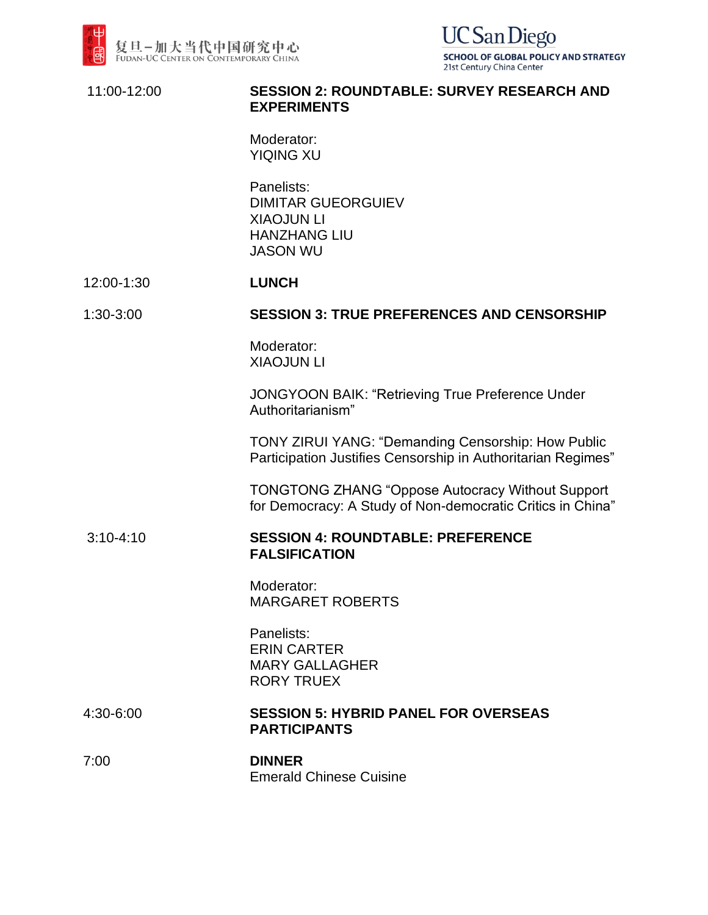

**UC** San Diego **SCHOOL OF GLOBAL POLICY AND STRATEGY** 21st Century China Center

### 11:00-12:00 **SESSION 2: ROUNDTABLE: SURVEY RESEARCH AND EXPERIMENTS**

Moderator: YIQING XU

Panelists: DIMITAR GUEORGUIEV XIAOJUN LI HANZHANG LIU JASON WU

#### 12:00-1:30 **LUNCH**

#### 1:30-3:00 **SESSION 3: TRUE PREFERENCES AND CENSORSHIP**

Moderator: XIAOJUN LI

JONGYOON BAIK: "Retrieving True Preference Under Authoritarianism"

TONY ZIRUI YANG: "Demanding Censorship: How Public Participation Justifies Censorship in Authoritarian Regimes"

TONGTONG ZHANG "Oppose Autocracy Without Support for Democracy: A Study of Non-democratic Critics in China"

### 3:10-4:10 **SESSION 4: ROUNDTABLE: PREFERENCE FALSIFICATION**

Moderator: MARGARET ROBERTS

Panelists: ERIN CARTER MARY GALLAGHER RORY TRUEX

### 4:30-6:00 **SESSION 5: HYBRID PANEL FOR OVERSEAS PARTICIPANTS**

7:00 **DINNER** Emerald Chinese Cuisine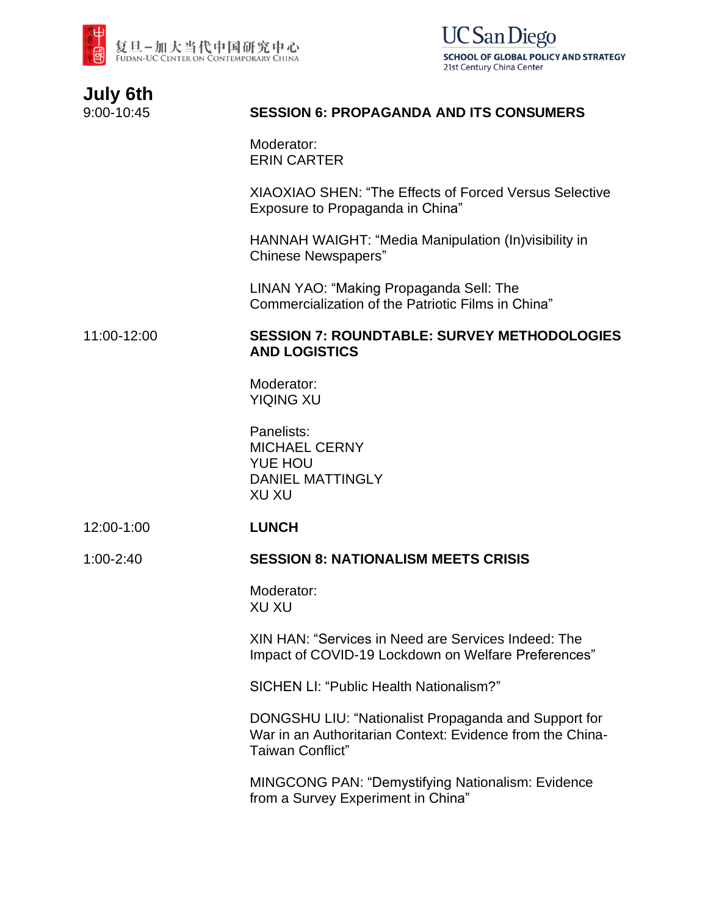



| <b>July 6th</b> |  |
|-----------------|--|
| 9:00-10:45      |  |

## **SESSION 6: PROPAGANDA AND ITS CONSUMERS**

Moderator: ERIN CARTER

XIAOXIAO SHEN: "The Effects of Forced Versus Selective Exposure to Propaganda in China"

HANNAH WAIGHT: "Media Manipulation (In)visibility in Chinese Newspapers"

LINAN YAO: "Making Propaganda Sell: The Commercialization of the Patriotic Films in China"

### 11:00-12:00 **SESSION 7: ROUNDTABLE: SURVEY METHODOLOGIES AND LOGISTICS**

Moderator: YIQING XU

Panelists: MICHAEL CERNY YUE HOU DANIEL MATTINGLY XU XU

12:00-1:00 **LUNCH**

#### 1:00-2:40 **SESSION 8: NATIONALISM MEETS CRISIS**

Moderator: XU XU

XIN HAN: "Services in Need are Services Indeed: The Impact of COVID-19 Lockdown on Welfare Preferences"

SICHEN LI: "Public Health Nationalism?"

DONGSHU LIU: "Nationalist Propaganda and Support for War in an Authoritarian Context: Evidence from the China-Taiwan Conflict"

MINGCONG PAN: "Demystifying Nationalism: Evidence from a Survey Experiment in China"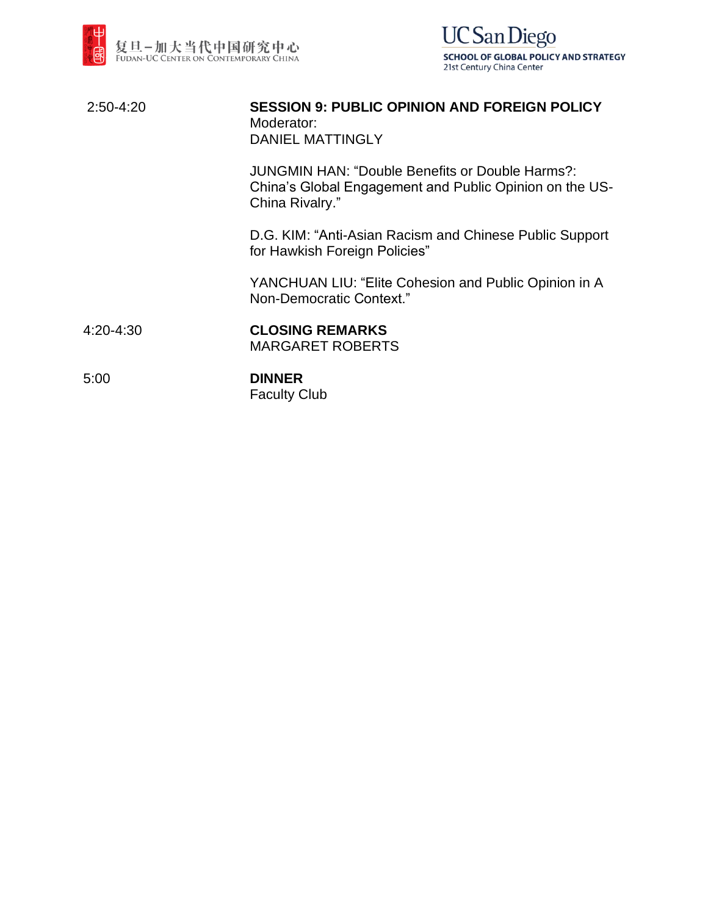



| $2:50-4:20$ | <b>SESSION 9: PUBLIC OPINION AND FOREIGN POLICY</b><br>Moderator:<br><b>DANIEL MATTINGLY</b>                                         |
|-------------|--------------------------------------------------------------------------------------------------------------------------------------|
|             | <b>JUNGMIN HAN: "Double Benefits or Double Harms?:</b><br>China's Global Engagement and Public Opinion on the US-<br>China Rivalry." |
|             | D.G. KIM: "Anti-Asian Racism and Chinese Public Support<br>for Hawkish Foreign Policies"                                             |
|             | YANCHUAN LIU: "Elite Cohesion and Public Opinion in A<br>Non-Democratic Context."                                                    |
| 4:20-4:30   | <b>CLOSING REMARKS</b><br><b>MARGARET ROBERTS</b>                                                                                    |
| 5:00        | <b>DINNER</b>                                                                                                                        |

Faculty Club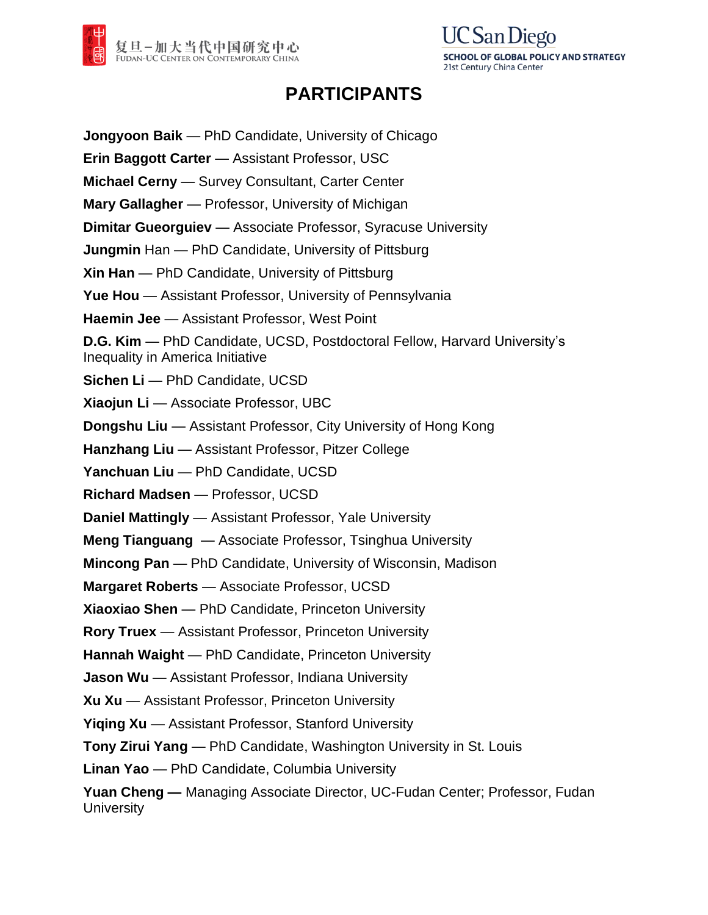



## **PARTICIPANTS**

**Jongyoon Baik** — PhD Candidate, University of Chicago **Erin Baggott Carter** — Assistant Professor, USC **Michael Cerny** — Survey Consultant, Carter Center **Mary Gallagher** — Professor, University of Michigan **Dimitar Gueorguiev** — Associate Professor, Syracuse University **Jungmin** Han — PhD Candidate, University of Pittsburg **Xin Han** — PhD Candidate, University of Pittsburg **Yue Hou** — Assistant Professor, University of Pennsylvania **Haemin Jee** — Assistant Professor, West Point **D.G. Kim** — PhD Candidate, UCSD, Postdoctoral Fellow, Harvard University's Inequality in America Initiative **Sichen Li** — PhD Candidate, UCSD **Xiaojun Li** — Associate Professor, UBC **Dongshu Liu** — Assistant Professor, City University of Hong Kong **Hanzhang Liu** — Assistant Professor, Pitzer College **Yanchuan Liu** — PhD Candidate, UCSD **Richard Madsen** — Professor, UCSD **Daniel Mattingly** — Assistant Professor, Yale University **Meng Tianguang** — Associate Professor, Tsinghua University **Mincong Pan** — PhD Candidate, University of Wisconsin, Madison **Margaret Roberts** — Associate Professor, UCSD **Xiaoxiao Shen** — PhD Candidate, Princeton University **Rory Truex** — Assistant Professor, Princeton University **Hannah Waight** — PhD Candidate, Princeton University **Jason Wu** — Assistant Professor, Indiana University **Xu Xu** — Assistant Professor, Princeton University **Yiqing Xu** — Assistant Professor, Stanford University **Tony Zirui Yang** — PhD Candidate, Washington University in St. Louis **Linan Yao** — PhD Candidate, Columbia University **Yuan Cheng —** Managing Associate Director, UC-Fudan Center; Professor, Fudan **University**